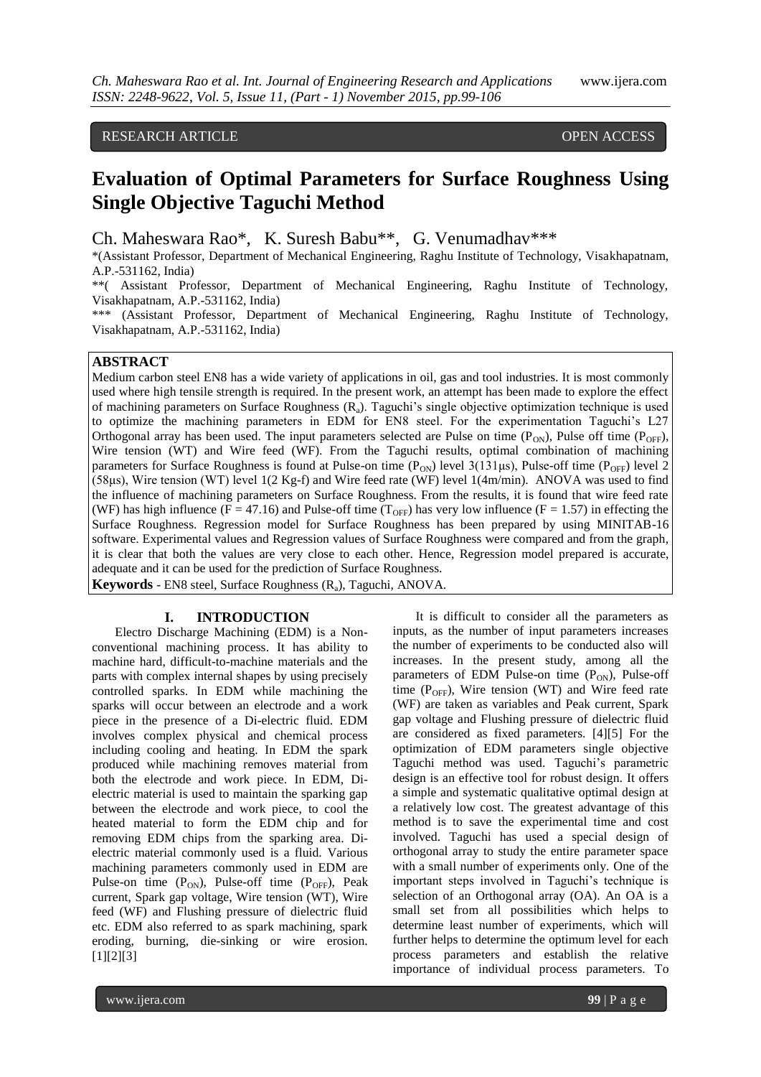## RESEARCH ARTICLE **CONSERVERS** OPEN ACCESS

# **Evaluation of Optimal Parameters for Surface Roughness Using Single Objective Taguchi Method**

Ch. Maheswara Rao\*, K. Suresh Babu\*\*, G. Venumadhav\*\*\*

\*(Assistant Professor, Department of Mechanical Engineering, Raghu Institute of Technology, Visakhapatnam, A.P.-531162, India)

\*\*( Assistant Professor, Department of Mechanical Engineering, Raghu Institute of Technology, Visakhapatnam, A.P.-531162, India)

\*\*\* (Assistant Professor, Department of Mechanical Engineering, Raghu Institute of Technology, Visakhapatnam, A.P.-531162, India)

## **ABSTRACT**

Medium carbon steel EN8 has a wide variety of applications in oil, gas and tool industries. It is most commonly used where high tensile strength is required. In the present work, an attempt has been made to explore the effect of machining parameters on Surface Roughness (Ra). Taguchi's single objective optimization technique is used to optimize the machining parameters in EDM for EN8 steel. For the experimentation Taguchi's L27 Orthogonal array has been used. The input parameters selected are Pulse on time  $(P_{ON})$ , Pulse off time  $(P_{OFF})$ , Wire tension (WT) and Wire feed (WF). From the Taguchi results, optimal combination of machining parameters for Surface Roughness is found at Pulse-on time  $(P_{ON})$  level 3(131µs), Pulse-off time ( $P_{OFF}$ ) level 2 (58μs), Wire tension (WT) level 1(2 Kg-f) and Wire feed rate (WF) level 1(4m/min). ANOVA was used to find the influence of machining parameters on Surface Roughness. From the results, it is found that wire feed rate (WF) has high influence (F = 47.16) and Pulse-off time ( $T_{\text{OFF}}$ ) has very low influence (F = 1.57) in effecting the Surface Roughness. Regression model for Surface Roughness has been prepared by using MINITAB-16 software. Experimental values and Regression values of Surface Roughness were compared and from the graph, it is clear that both the values are very close to each other. Hence, Regression model prepared is accurate, adequate and it can be used for the prediction of Surface Roughness.

**Keywords** - EN8 steel, Surface Roughness (R<sub>a</sub>), Taguchi, ANOVA.

#### **I. INTRODUCTION**

Electro Discharge Machining (EDM) is a Nonconventional machining process. It has ability to machine hard, difficult-to-machine materials and the parts with complex internal shapes by using precisely controlled sparks. In EDM while machining the sparks will occur between an electrode and a work piece in the presence of a Di-electric fluid. EDM involves complex physical and chemical process including cooling and heating. In EDM the spark produced while machining removes material from both the electrode and work piece. In EDM, Dielectric material is used to maintain the sparking gap between the electrode and work piece, to cool the heated material to form the EDM chip and for removing EDM chips from the sparking area. Dielectric material commonly used is a fluid. Various machining parameters commonly used in EDM are Pulse-on time  $(P_{ON})$ , Pulse-off time  $(P_{OFF})$ , Peak current, Spark gap voltage, Wire tension (WT), Wire feed (WF) and Flushing pressure of dielectric fluid etc. EDM also referred to as spark machining, spark eroding, burning, die-sinking or wire erosion. [1][2][3]

It is difficult to consider all the parameters as inputs, as the number of input parameters increases the number of experiments to be conducted also will increases. In the present study, among all the parameters of EDM Pulse-on time  $(P_{ON})$ , Pulse-off time ( $P_{OFF}$ ), Wire tension (WT) and Wire feed rate (WF) are taken as variables and Peak current, Spark gap voltage and Flushing pressure of dielectric fluid are considered as fixed parameters. [4][5] For the optimization of EDM parameters single objective Taguchi method was used. Taguchi's parametric design is an effective tool for robust design. It offers a simple and systematic qualitative optimal design at a relatively low cost. The greatest advantage of this method is to save the experimental time and cost involved. Taguchi has used a special design of orthogonal array to study the entire parameter space with a small number of experiments only. One of the important steps involved in Taguchi's technique is selection of an Orthogonal array (OA). An OA is a small set from all possibilities which helps to determine least number of experiments, which will further helps to determine the optimum level for each process parameters and establish the relative importance of individual process parameters. To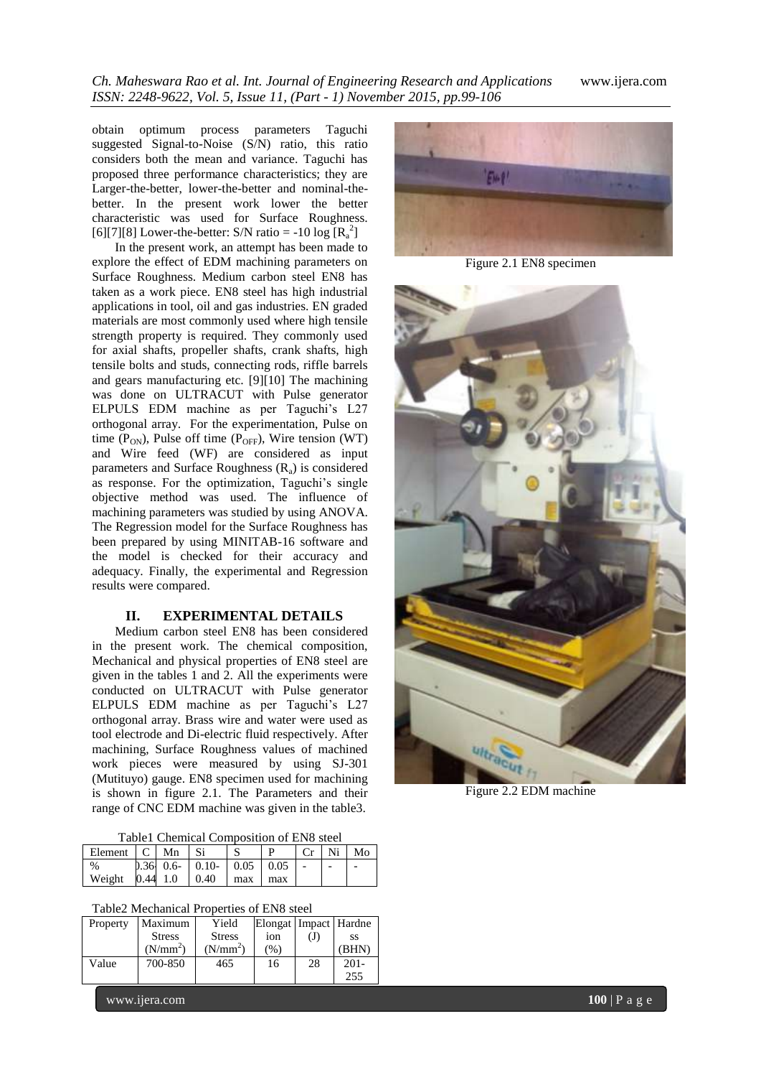obtain optimum process parameters Taguchi suggested Signal-to-Noise (S/N) ratio, this ratio considers both the mean and variance. Taguchi has proposed three performance characteristics; they are Larger-the-better, lower-the-better and nominal-thebetter. In the present work lower the better characteristic was used for Surface Roughness. [6][7][8] Lower-the-better: S/N ratio = -10 log  $[R_a^2]$ 

In the present work, an attempt has been made to explore the effect of EDM machining parameters on Surface Roughness. Medium carbon steel EN8 has taken as a work piece. EN8 steel has high industrial applications in tool, oil and gas industries. EN graded materials are most commonly used where high tensile strength property is required. They commonly used for axial shafts, propeller shafts, crank shafts, high tensile bolts and studs, connecting rods, riffle barrels and gears manufacturing etc. [9][10] The machining was done on ULTRACUT with Pulse generator ELPULS EDM machine as per Taguchi's L27 orthogonal array. For the experimentation, Pulse on time  $(P_{ON})$ , Pulse off time  $(P_{OFF})$ , Wire tension (WT) and Wire feed (WF) are considered as input parameters and Surface Roughness  $(R_a)$  is considered as response. For the optimization, Taguchi's single objective method was used. The influence of machining parameters was studied by using ANOVA. The Regression model for the Surface Roughness has been prepared by using MINITAB-16 software and the model is checked for their accuracy and adequacy. Finally, the experimental and Regression results were compared.

#### **II. EXPERIMENTAL DETAILS**

Medium carbon steel EN8 has been considered in the present work. The chemical composition, Mechanical and physical properties of EN8 steel are given in the tables 1 and 2. All the experiments were conducted on ULTRACUT with Pulse generator ELPULS EDM machine as per Taguchi's L27 orthogonal array. Brass wire and water were used as tool electrode and Di-electric fluid respectively. After machining, Surface Roughness values of machined work pieces were measured by using SJ-301 (Mutituyo) gauge. EN8 specimen used for machining is shown in figure 2.1. The Parameters and their range of CNC EDM machine was given in the table3.

Table1 Chemical Composition of EN8 steel

| Element   C   Mn |  |                                       |       | Cr | Ni <sub>1</sub> | Mo |
|------------------|--|---------------------------------------|-------|----|-----------------|----|
| %                |  | $0.36$ 0.6 $\pm 0.10$ $\pm 0.05$ 0.05 |       |    |                 |    |
| Weight           |  | $0.44$ 1.0   0.40   max               | l max |    |                 |    |

Table2 Mechanical Properties of EN8 steel

| Property | Maximum              | Yield                | Elongat   Impact   Hardne |    |         |
|----------|----------------------|----------------------|---------------------------|----|---------|
|          | <b>Stress</b>        | <b>Stress</b>        | 10 <sub>n</sub>           | Œ  | SS      |
|          | (N/mm <sup>2</sup> ) | (N/mm <sup>2</sup> ) | (%)                       |    | (BHN)   |
| Value    | 700-850              | 465                  | 16                        | 28 | $201 -$ |
|          |                      |                      |                           |    | 255     |



Figure 2.1 EN8 specimen



Figure 2.2 EDM machine

www.ijera.com **100** | P a g e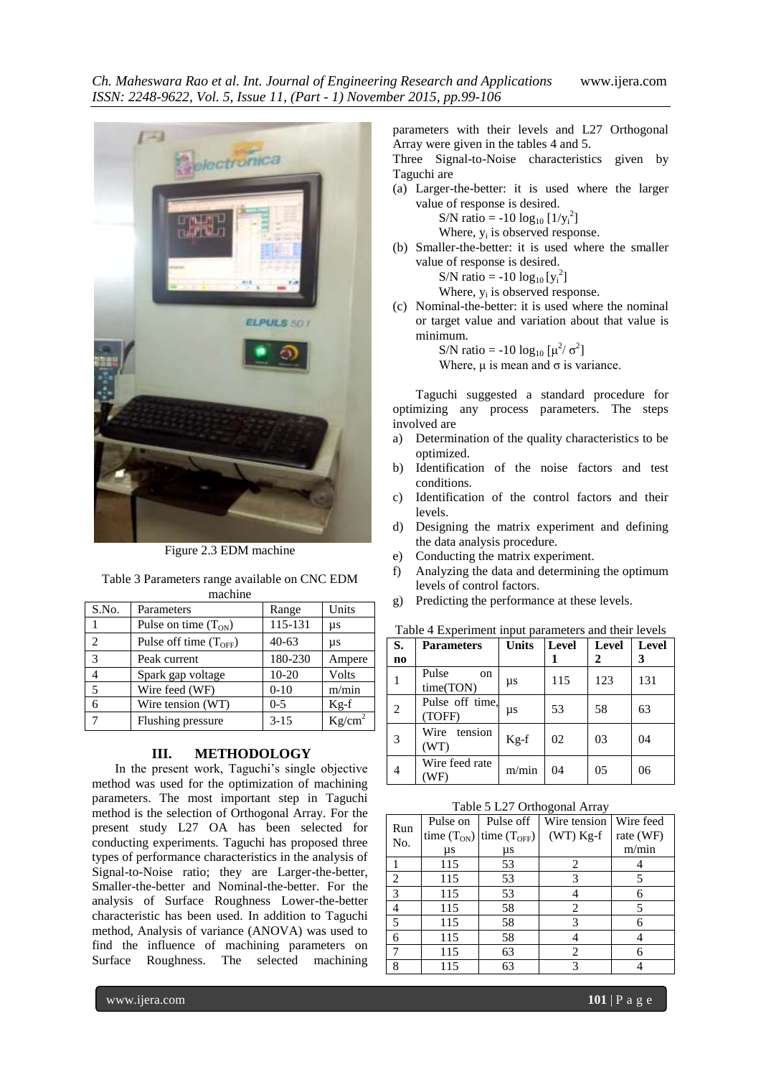┓



Figure 2.3 EDM machine

| Table 3 Parameters range available on CNC EDM |                   |       |       |  |  |  |
|-----------------------------------------------|-------------------|-------|-------|--|--|--|
| machine                                       |                   |       |       |  |  |  |
| S.No.                                         | <b>Parameters</b> | Range | Units |  |  |  |

| .              | 1 an am cun              | $1$ valle $\sim$ | $\sim$             |
|----------------|--------------------------|------------------|--------------------|
|                | Pulse on time $(T_{ON})$ | 115-131          | μs                 |
| $\mathfrak{D}$ | Pulse off time $(TOFF)$  | $40 - 63$        | μs                 |
| 3              | Peak current             | 180-230          | Ampere             |
|                | Spark gap voltage        | $10 - 20$        | Volts              |
| 5              | Wire feed (WF)           | $0-10$           | m/min              |
| 6              | Wire tension (WT)        | $0 - 5$          | $Kg-f$             |
|                | Flushing pressure        | $3 - 15$         | Kg/cm <sup>2</sup> |

### **III. METHODOLOGY**

In the present work, Taguchi's single objective method was used for the optimization of machining parameters. The most important step in Taguchi method is the selection of Orthogonal Array. For the present study L27 OA has been selected for conducting experiments. Taguchi has proposed three types of performance characteristics in the analysis of Signal-to-Noise ratio; they are Larger-the-better, Smaller-the-better and Nominal-the-better. For the analysis of Surface Roughness Lower-the-better characteristic has been used. In addition to Taguchi method, Analysis of variance (ANOVA) was used to find the influence of machining parameters on Surface Roughness. The selected machining

parameters with their levels and L27 Orthogonal Array were given in the tables 4 and 5.

Three Signal-to-Noise characteristics given by Taguchi are

(a) Larger-the-better: it is used where the larger value of response is desired.

S/N ratio = -10  $log_{10}$  [1/y<sub>i</sub><sup>2</sup>]

Where,  $y_i$  is observed response.

(b) Smaller-the-better: it is used where the smaller value of response is desired.

$$
S/N \text{ ratio} = -10 \log_{10} [y_i^2]
$$

Where,  $y_i$  is observed response.

(c) Nominal-the-better: it is used where the nominal or target value and variation about that value is minimum.

S/N ratio = -10  $\log_{10} [\mu^2/\sigma^2]$ Where,  $\mu$  is mean and  $\sigma$  is variance.

Taguchi suggested a standard procedure for optimizing any process parameters. The steps involved are

- a) Determination of the quality characteristics to be optimized.
- b) Identification of the noise factors and test conditions.
- c) Identification of the control factors and their levels.
- d) Designing the matrix experiment and defining the data analysis procedure.
- e) Conducting the matrix experiment.
- f) Analyzing the data and determining the optimum levels of control factors.
- g) Predicting the performance at these levels.

| S.             | <b>Parameters</b>         | <b>Units</b> | Level | <b>Level</b> | Level |
|----------------|---------------------------|--------------|-------|--------------|-------|
| n <sub>0</sub> |                           |              |       | 2            | 3     |
|                | Pulse<br>on.<br>time(TON) | μs           | 115   | 123          | 131   |
| 2              | Pulse off time.<br>(TOFF) | μs           | 53    | 58           | 63    |
| 3              | Wire<br>tension<br>(WT)   | $Kg-f$       | 02    | 03           | 04    |
| $\overline{4}$ | Wire feed rate<br>WF.     | m/min        | 04    | 05           | 06    |

Table 5 L27 Orthogonal Array

| Run | Pulse on        | Pulse off     | Wire tension | Wire feed |
|-----|-----------------|---------------|--------------|-----------|
| No. | time $(T_{ON})$ | time $(TOFF)$ | $(WT)$ Kg-f  | rate (WF) |
|     | $\mu s$         | μs            |              | m/min     |
|     | 115             | 53            | 2            |           |
| 2   | 115             | 53            | 3            |           |
| 3   | 115             | 53            |              | 6         |
| 4   | 115             | 58            | 2            |           |
| 5   | 115             | 58            | 3            |           |
| 6   | 115             | 58            |              |           |
| 7   | 115             | 63            | 2            |           |
| 8   | 115             | 63            |              |           |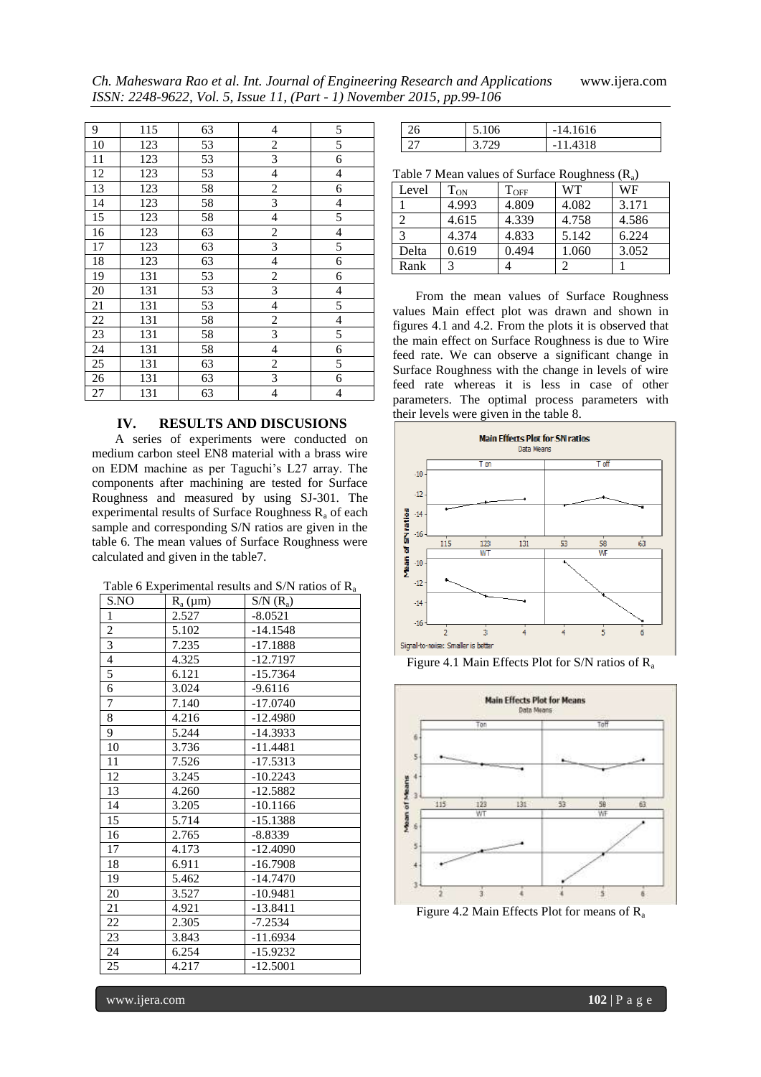*Ch. Maheswara Rao et al. Int. Journal of Engineering Research and Applications* www.ijera.com *ISSN: 2248-9622, Vol. 5, Issue 11, (Part - 1) November 2015, pp.99-106*

| 9               | 115 | 63 | 4                       | 5              |
|-----------------|-----|----|-------------------------|----------------|
| 10              | 123 | 53 | $\overline{c}$          | 5              |
| 11              | 123 | 53 | 3                       | 6              |
| 12              | 123 | 53 | 4                       | 4              |
| 13              | 123 | 58 | $\overline{c}$          | 6              |
| 14              | 123 | 58 | 3                       | 4              |
| 15              | 123 | 58 | 4                       | 5              |
| 16              | 123 | 63 | $\sqrt{2}$              | $\overline{4}$ |
| $\overline{17}$ | 123 | 63 | $\overline{3}$          | 5              |
| 18              | 123 | 63 | $\overline{4}$          | 6              |
| 19              | 131 | 53 | $\overline{c}$          | 6              |
| 20              | 131 | 53 | $\overline{\mathbf{3}}$ | $\overline{4}$ |
| 21              | 131 | 53 | $\overline{\mathbf{4}}$ | 5              |
| 22              | 131 | 58 | $\overline{c}$          | $\overline{4}$ |
| 23              | 131 | 58 | $\overline{\mathbf{3}}$ | 5              |
| 24              | 131 | 58 | $\overline{4}$          | 6              |
| 25              | 131 | 63 | $\overline{c}$          | 5              |
| 26              | 131 | 63 | 3                       | 6              |
| 27              | 131 | 63 | 4                       | $\overline{4}$ |

#### **IV. RESULTS AND DISCUSIONS**

A series of experiments were conducted on medium carbon steel EN8 material with a brass wire on EDM machine as per Taguchi's L27 array. The components after machining are tested for Surface Roughness and measured by using SJ-301. The experimental results of Surface Roughness  $R_a$  of each sample and corresponding S/N ratios are given in the table 6. The mean values of Surface Roughness were calculated and given in the table7.

| Table 6 Experimental results and S/N ratios of $R_a$ |  |  |  |  |  |  |  |
|------------------------------------------------------|--|--|--|--|--|--|--|
|------------------------------------------------------|--|--|--|--|--|--|--|

| S.NO             | $R_a(\mu m)$ | $S/N(R_a)$ |
|------------------|--------------|------------|
| $\,1\,$          | 2.527        | $-8.0521$  |
| $\overline{2}$   | 5.102        | $-14.1548$ |
| $\overline{3}$   | 7.235        | $-17.1888$ |
| $\overline{4}$   | 4.325        | $-12.7197$ |
| 5                | 6.121        | $-15.7364$ |
| 6                | 3.024        | $-9.6116$  |
| $\boldsymbol{7}$ | 7.140        | $-17.0740$ |
| 8                | 4.216        | $-12.4980$ |
| 9                | 5.244        | $-14.3933$ |
| 10               | 3.736        | $-11.4481$ |
| 11               | 7.526        | $-17.5313$ |
| 12               | 3.245        | $-10.2243$ |
| 13               | 4.260        | $-12.5882$ |
| 14               | 3.205        | $-10.1166$ |
| 15               | 5.714        | $-15.1388$ |
| 16               | 2.765        | $-8.8339$  |
| 17               | 4.173        | $-12.4090$ |
| 18               | 6.911        | $-16.7908$ |
| 19               | 5.462        | $-14.7470$ |
| 20               | 3.527        | $-10.9481$ |
| 21               | 4.921        | $-13.8411$ |
| 22               | 2.305        | $-7.2534$  |
| 23               | 3.843        | $-11.6934$ |
| 24               | 6.254        | $-15.9232$ |
| 25               | 4.217        | $-12.5001$ |

|  | ۱'n | 1616<br>- 1 |
|--|-----|-------------|
|  |     | 318<br>- 1  |

| Table 7 Mean values of Surface Roughness $(R_a)$ |  |  |
|--------------------------------------------------|--|--|

| Level | $T_{ON}$ | $\rm T_{OFF}$ | <b>WT</b> | WF    |
|-------|----------|---------------|-----------|-------|
|       | 4.993    | 4.809         | 4.082     | 3.171 |
|       | 4.615    | 4.339         | 4.758     | 4.586 |
| 3     | 4.374    | 4.833         | 5.142     | 6.224 |
| Delta | 0.619    | 0.494         | 1.060     | 3.052 |
| Rank  | 3        |               |           |       |

From the mean values of Surface Roughness values Main effect plot was drawn and shown in figures 4.1 and 4.2. From the plots it is observed that the main effect on Surface Roughness is due to Wire feed rate. We can observe a significant change in Surface Roughness with the change in levels of wire feed rate whereas it is less in case of other parameters. The optimal process parameters with their levels were given in the table 8.







Figure 4.2 Main Effects Plot for means of R<sub>a</sub>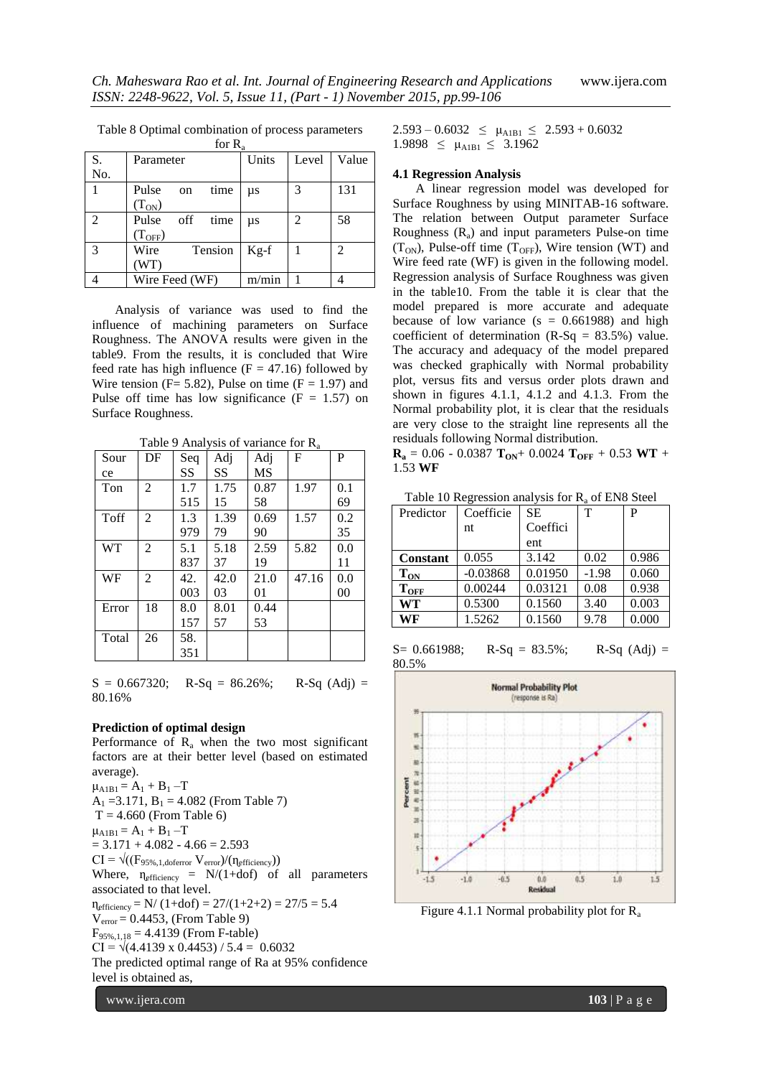| for $R_a$      |                      |         |       |       |
|----------------|----------------------|---------|-------|-------|
| S.             | Parameter            | Units   | Level | Value |
| No.            |                      |         |       |       |
|                | Pulse<br>time<br>on  | $\mu s$ | 3     | 131   |
|                | $(T_{ON})$           |         |       |       |
| $\mathfrak{D}$ | Pulse<br>time<br>off | $\mu s$ | 2     | 58    |
|                | (T <sub>OFF</sub> )  |         |       |       |
| 3              | Wire<br>Tension      | $Kg-f$  |       | 2     |
|                | (WT)                 |         |       |       |
|                | Wire Feed (WF)       | m/min   |       |       |

Table 8 Optimal combination of process parameters

Analysis of variance was used to find the influence of machining parameters on Surface Roughness. The ANOVA results were given in the table9. From the results, it is concluded that Wire feed rate has high influence  $(F = 47.16)$  followed by Wire tension ( $F = 5.82$ ), Pulse on time ( $F = 1.97$ ) and Pulse off time has low significance  $(F = 1.57)$  on Surface Roughness.

| Sour      | DF             | Seq | Adj  | Adj  | F     | P   |
|-----------|----------------|-----|------|------|-------|-----|
| ce        |                | SS  | SS   | MS   |       |     |
| Ton       | 2              | 1.7 | 1.75 | 0.87 | 1.97  | 0.1 |
|           |                | 515 | 15   | 58   |       | 69  |
| Toff      | $\mathfrak{D}$ | 1.3 | 1.39 | 0.69 | 1.57  | 0.2 |
|           |                | 979 | 79   | 90   |       | 35  |
| <b>WT</b> | $\mathfrak{D}$ | 5.1 | 5.18 | 2.59 | 5.82  | 0.0 |
|           |                | 837 | 37   | 19   |       | 11  |
| WF        | $\mathfrak{D}$ | 42. | 42.0 | 21.0 | 47.16 | 0.0 |
|           |                | 003 | 03   | 01   |       | 00  |
| Error     | 18             | 8.0 | 8.01 | 0.44 |       |     |
|           |                | 157 | 57   | 53   |       |     |
| Total     | 26             | 58. |      |      |       |     |
|           |                | 351 |      |      |       |     |

Table 9 Analysis of variance for R<sup>a</sup>

 $S = 0.667320$ ; R-Sq = 86.26%; R-Sq (Adj) = 80.16%

#### **Prediction of optimal design**

www.ijera.com **103** | P a g e Performance of  $R_a$  when the two most significant factors are at their better level (based on estimated average).  $\mu_{A1B1} = A_1 + B_1 - T$  $A_1 = 3.171$ ,  $B_1 = 4.082$  (From Table 7)  $T = 4.660$  (From Table 6)  $\mu_{A1B1} = A_1 + B_1 - T$  $= 3.171 + 4.082 - 4.66 = 2.593$  $CI = \sqrt{\frac{F_{95\%,1,doferror} V_{error}}{n_{efficiency}}}$ Where,  $\eta_{\text{efficiency}} = N/(1+\text{dof})$  of all parameters associated to that level.  $n_{\text{efficiency}} = N/(1+\text{dof}) = 27/(1+2+2) = 27/5 = 5.4$  $V_{\text{error}} = 0.4453$ , (From Table 9)  $F_{95\%118} = 4.4139$  (From F-table)  $CI = \sqrt{(4.4139 \times 0.4453) / 5.4} = 0.6032$ The predicted optimal range of Ra at 95% confidence level is obtained as,

 $2.593 - 0.6032 \le \mu_{A1B1} \le 2.593 + 0.6032$  $1.9898 \leq \mu_{A1B1} \leq 3.1962$ 

#### **4.1 Regression Analysis**

A linear regression model was developed for Surface Roughness by using MINITAB-16 software. The relation between Output parameter Surface Roughness  $(R_a)$  and input parameters Pulse-on time  $(T<sub>ON</sub>)$ , Pulse-off time  $(T<sub>OFF</sub>)$ , Wire tension (WT) and Wire feed rate (WF) is given in the following model. Regression analysis of Surface Roughness was given in the table10. From the table it is clear that the model prepared is more accurate and adequate because of low variance  $(s = 0.661988)$  and high coefficient of determination  $(R-Sq = 83.5%)$  value. The accuracy and adequacy of the model prepared was checked graphically with Normal probability plot, versus fits and versus order plots drawn and shown in figures 4.1.1, 4.1.2 and 4.1.3. From the Normal probability plot, it is clear that the residuals are very close to the straight line represents all the residuals following Normal distribution.

 $\mathbf{R}_a = 0.06 - 0.0387 \mathbf{T}_{ON} + 0.0024 \mathbf{T}_{OFF} + 0.53 \mathbf{WT} +$ 1.53 **WF**

Table 10 Regression analysis for  $R_a$  of EN8 Steel

| Predictor       | Coefficie  | <b>SE</b> | т       | P     |
|-----------------|------------|-----------|---------|-------|
|                 | nt         | Coeffici  |         |       |
|                 |            | ent       |         |       |
| <b>Constant</b> | 0.055      | 3.142     | 0.02    | 0.986 |
| $\rm T_{ON}$    | $-0.03868$ | 0.01950   | $-1.98$ | 0.060 |
| $\rm T_{OFF}$   | 0.00244    | 0.03121   | 0.08    | 0.938 |
| WT              | 0.5300     | 0.1560    | 3.40    | 0.003 |
| WF              | 1.5262     | 0.1560    | 9.78    | 0.000 |

 $S= 0.661988$ ; R-Sq = 83.5%; R-Sq (Adj) = 80.5%



Figure 4.1.1 Normal probability plot for  $R_a$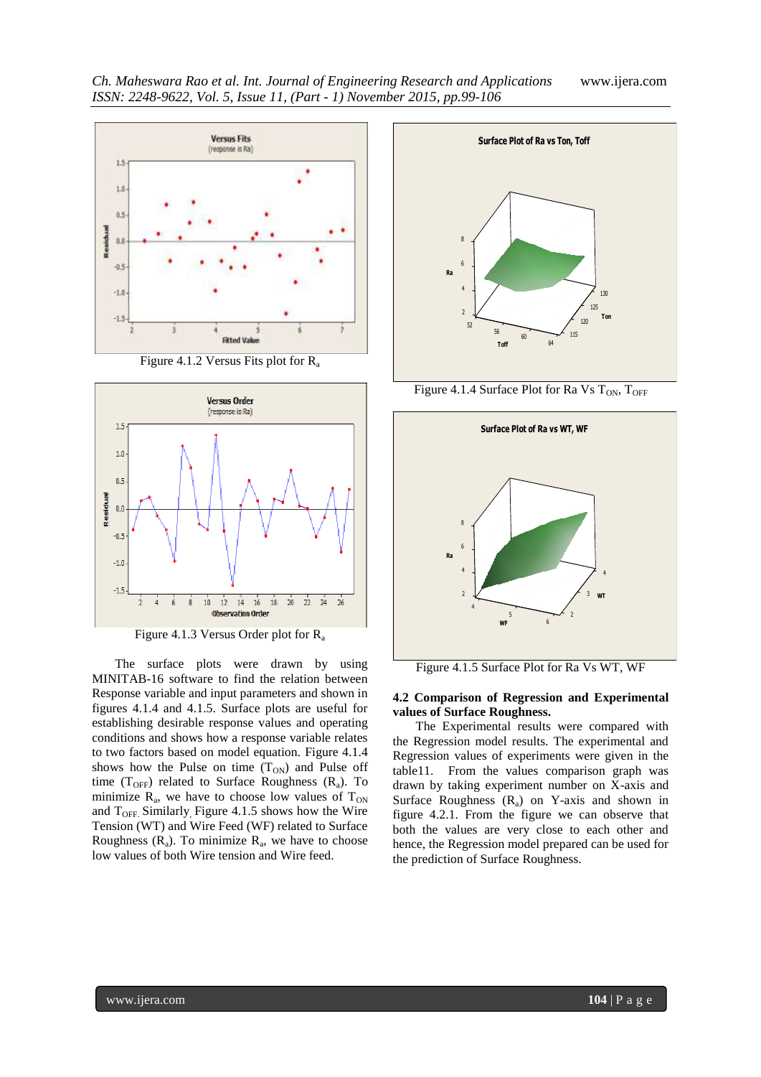

Figure 4.1.2 Versus Fits plot for R<sub>a</sub>



Figure 4.1.3 Versus Order plot for R<sup>a</sup>

The surface plots were drawn by using MINITAB-16 software to find the relation between Response variable and input parameters and shown in figures 4.1.4 and 4.1.5. Surface plots are useful for establishing desirable response values and operating conditions and shows how a response variable relates to two factors based on model equation. Figure 4.1.4 shows how the Pulse on time  $(T<sub>ON</sub>)$  and Pulse off time ( $T<sub>OFF</sub>$ ) related to Surface Roughness ( $R_a$ ). To minimize  $R_a$ , we have to choose low values of  $T_{ON}$ and  $T<sub>OFF</sub>$  Similarly Figure 4.1.5 shows how the Wire Tension (WT) and Wire Feed (WF) related to Surface Roughness  $(R_a)$ . To minimize  $R_a$ , we have to choose low values of both Wire tension and Wire feed.



Figure 4.1.4 Surface Plot for Ra Vs  $T_{ON}$ ,  $T_{OFF}$ 



Figure 4.1.5 Surface Plot for Ra Vs WT, WF

#### **4.2 Comparison of Regression and Experimental values of Surface Roughness.**

The Experimental results were compared with the Regression model results. The experimental and Regression values of experiments were given in the table11. From the values comparison graph was drawn by taking experiment number on X-axis and Surface Roughness  $(R_a)$  on Y-axis and shown in figure 4.2.1. From the figure we can observe that both the values are very close to each other and hence, the Regression model prepared can be used for the prediction of Surface Roughness.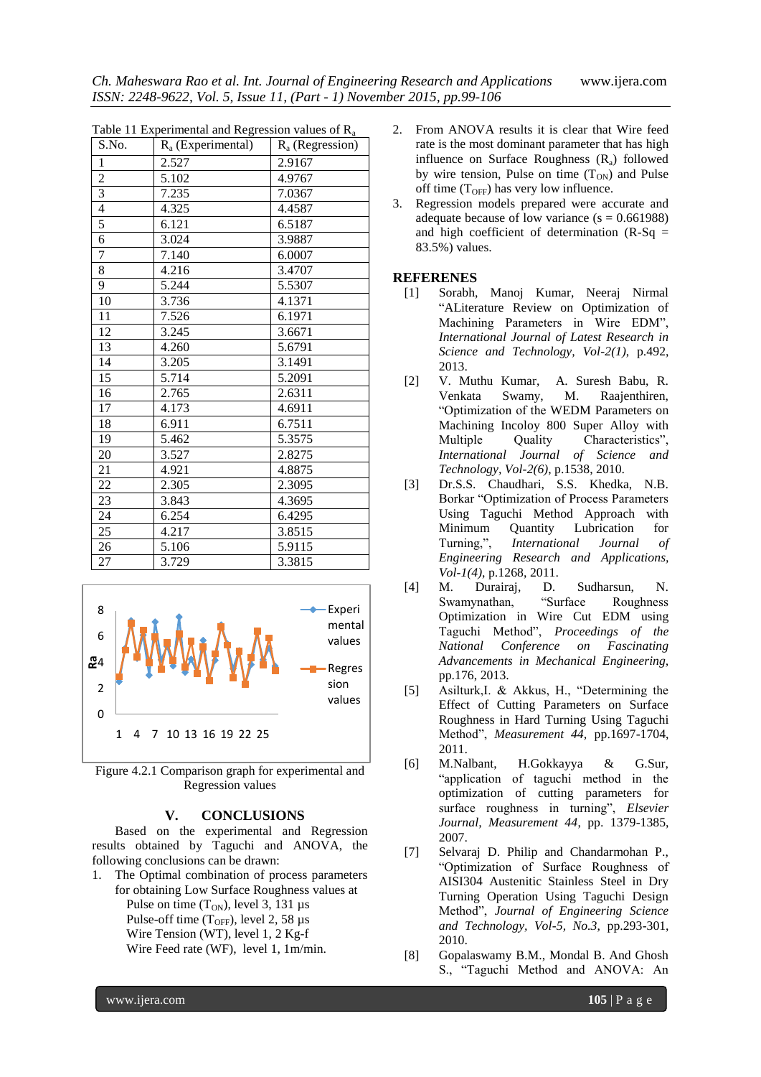| Table 11 Experimental and Regression values of $R_a$ |                      |                    |  |  |
|------------------------------------------------------|----------------------|--------------------|--|--|
| S.No.                                                | $R_a$ (Experimental) | $R_a$ (Regression) |  |  |
| $\mathbf{1}$                                         | 2.527                | 2.9167             |  |  |
| $\overline{c}$                                       | 5.102                | 4.9767             |  |  |
| $\overline{\mathbf{3}}$                              | 7.235                | 7.0367             |  |  |
| $\overline{4}$                                       | 4.325                | 4.4587             |  |  |
| 5                                                    | 6.121                | 6.5187             |  |  |
| 6                                                    | 3.024                | 3.9887             |  |  |
| 7                                                    | 7.140                | 6.0007             |  |  |
| $\overline{8}$                                       | 4.216                | 3.4707             |  |  |
| 9                                                    | 5.244                | 5.5307             |  |  |
| 10                                                   | 3.736                | 4.1371             |  |  |
| 11                                                   | 7.526                | 6.1971             |  |  |
| 12                                                   | 3.245                | 3.6671             |  |  |
| 13                                                   | 4.260                | 5.6791             |  |  |
| 14                                                   | 3.205                | 3.1491             |  |  |
| 15                                                   | 5.714                | 5.2091             |  |  |
| 16                                                   | 2.765                | 2.6311             |  |  |
| 17                                                   | 4.173                | 4.6911             |  |  |
| 18                                                   | 6.911                | 6.7511             |  |  |
| 19                                                   | 5.462                | 5.3575             |  |  |
| 20                                                   | 3.527                | 2.8275             |  |  |
| 21                                                   | 4.921                | 4.8875             |  |  |
| 22                                                   | 2.305                | 2.3095             |  |  |
| 23                                                   | 3.843                | 4.3695             |  |  |
| 24                                                   | 6.254                | 6.4295             |  |  |
| 25                                                   | 4.217                | 3.8515             |  |  |
| 26                                                   | 5.106                | 5.9115             |  |  |
| 27                                                   | 3.729                | 3.3815             |  |  |



Figure 4.2.1 Comparison graph for experimental and Regression values

#### **V. CONCLUSIONS**

Based on the experimental and Regression results obtained by Taguchi and ANOVA, the following conclusions can be drawn:

1. The Optimal combination of process parameters for obtaining Low Surface Roughness values at Pulse on time  $(T_{ON})$ , level 3, 131 µs Pulse-off time  $(T<sub>OFF</sub>)$ , level 2, 58 µs Wire Tension (WT), level 1, 2 Kg-f Wire Feed rate (WF), level 1, 1m/min.

- 2. From ANOVA results it is clear that Wire feed rate is the most dominant parameter that has high influence on Surface Roughness  $(R_a)$  followed by wire tension, Pulse on time  $(T_{ON})$  and Pulse off time  $(T<sub>OFF</sub>)$  has very low influence.
- 3. Regression models prepared were accurate and adequate because of low variance  $(s = 0.661988)$ and high coefficient of determination  $(R-Sq =$ 83.5%) values.

## **REFERENES**

- [1] Sorabh, Manoj Kumar, Neeraj Nirmal "ALiterature Review on Optimization of Machining Parameters in Wire EDM", *International Journal of Latest Research in Science and Technology, Vol-2(1)*, p.492, 2013.
- [2] V. Muthu Kumar, A. Suresh Babu, R. Venkata Swamy, M. Raajenthiren, "Optimization of the WEDM Parameters on Machining Incoloy 800 Super Alloy with Multiple Quality Characteristics", *International Journal of Science and Technology, Vol-2(6)*, p.1538, 2010.
- [3] Dr.S.S. Chaudhari, S.S. Khedka, N.B. Borkar "Optimization of Process Parameters Using Taguchi Method Approach with Minimum Quantity Lubrication for Turning,", *International Journal of Engineering Research and Applications, Vol-1(4)*, p.1268, 2011.
- [4] M. Durairaj, D. Sudharsun, N. Swamynathan, "Surface Roughness Optimization in Wire Cut EDM using Taguchi Method", *Proceedings of the National Conference on Fascinating Advancements in Mechanical Engineering,* pp.176, 2013.
- [5] Asilturk,I. & Akkus, H., "Determining the Effect of Cutting Parameters on Surface Roughness in Hard Turning Using Taguchi Method", *Measurement 44,* pp.1697-1704, 2011.
- [6] M.Nalbant, H.Gokkayya & G.Sur, "application of taguchi method in the optimization of cutting parameters for surface roughness in turning", *Elsevier Journal, Measurement 44*, pp. 1379-1385, 2007.
- [7] Selvaraj D. Philip and Chandarmohan P., "Optimization of Surface Roughness of AISI304 Austenitic Stainless Steel in Dry Turning Operation Using Taguchi Design Method", *Journal of Engineering Science and Technology, Vol-5, No.3*, pp.293-301, 2010.
- [8] Gopalaswamy B.M., Mondal B. And Ghosh S., "Taguchi Method and ANOVA: An